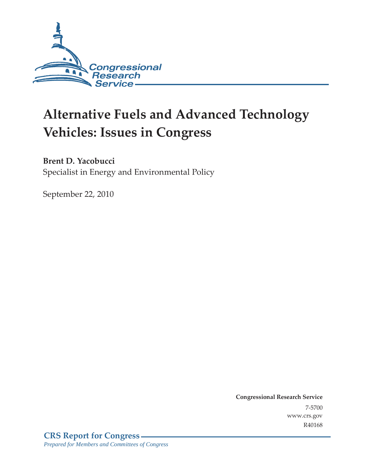

# **Alternative Fuels and Advanced Technology Vehicles: Issues in Congress**

## **Brent D. Yacobucci**

Specialist in Energy and Environmental Policy

September 22, 2010

**Congressional Research Service** 7-5700 www.crs.gov R40168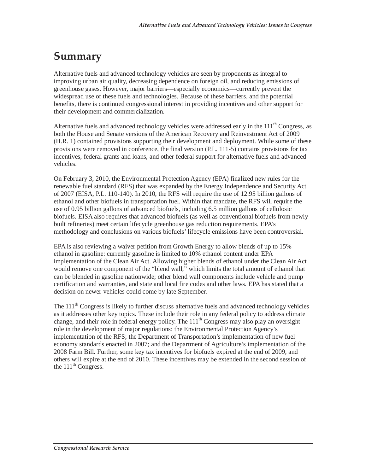# **Summary**

Alternative fuels and advanced technology vehicles are seen by proponents as integral to improving urban air quality, decreasing dependence on foreign oil, and reducing emissions of greenhouse gases. However, major barriers—especially economics—currently prevent the widespread use of these fuels and technologies. Because of these barriers, and the potential benefits, there is continued congressional interest in providing incentives and other support for their development and commercialization.

Alternative fuels and advanced technology vehicles were addressed early in the  $111<sup>th</sup>$  Congress, as both the House and Senate versions of the American Recovery and Reinvestment Act of 2009 (H.R. 1) contained provisions supporting their development and deployment. While some of these provisions were removed in conference, the final version (P.L. 111-5) contains provisions for tax incentives, federal grants and loans, and other federal support for alternative fuels and advanced vehicles.

On February 3, 2010, the Environmental Protection Agency (EPA) finalized new rules for the renewable fuel standard (RFS) that was expanded by the Energy Independence and Security Act of 2007 (EISA, P.L. 110-140). In 2010, the RFS will require the use of 12.95 billion gallons of ethanol and other biofuels in transportation fuel. Within that mandate, the RFS will require the use of 0.95 billion gallons of advanced biofuels, including 6.5 million gallons of cellulosic biofuels. EISA also requires that advanced biofuels (as well as conventional biofuels from newly built refineries) meet certain lifecycle greenhouse gas reduction requirements. EPA's methodology and conclusions on various biofuels' lifecycle emissions have been controversial.

EPA is also reviewing a waiver petition from Growth Energy to allow blends of up to 15% ethanol in gasoline: currently gasoline is limited to 10% ethanol content under EPA implementation of the Clean Air Act. Allowing higher blends of ethanol under the Clean Air Act would remove one component of the "blend wall," which limits the total amount of ethanol that can be blended in gasoline nationwide; other blend wall components include vehicle and pump certification and warranties, and state and local fire codes and other laws. EPA has stated that a decision on newer vehicles could come by late September.

The 111<sup>th</sup> Congress is likely to further discuss alternative fuels and advanced technology vehicles as it addresses other key topics. These include their role in any federal policy to address climate change, and their role in federal energy policy. The 111<sup>th</sup> Congress may also play an oversight role in the development of major regulations: the Environmental Protection Agency's implementation of the RFS; the Department of Transportation's implementation of new fuel economy standards enacted in 2007; and the Department of Agriculture's implementation of the 2008 Farm Bill. Further, some key tax incentives for biofuels expired at the end of 2009, and others will expire at the end of 2010. These incentives may be extended in the second session of the  $111<sup>th</sup>$  Congress.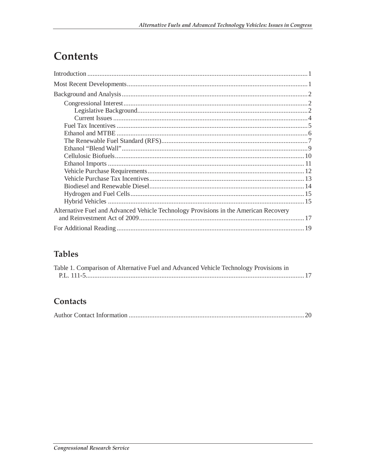# Contents

| Alternative Fuel and Advanced Vehicle Technology Provisions in the American Recovery |
|--------------------------------------------------------------------------------------|
|                                                                                      |
|                                                                                      |

## **Tables**

| Table 1. Comparison of Alternative Fuel and Advanced Vehicle Technology Provisions in |  |
|---------------------------------------------------------------------------------------|--|
|                                                                                       |  |

#### Contacts

|--|--|--|--|--|--|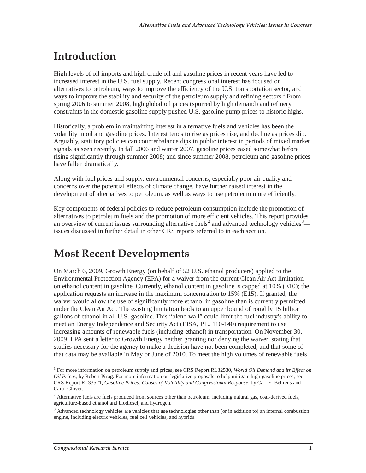# **Introduction**

High levels of oil imports and high crude oil and gasoline prices in recent years have led to increased interest in the U.S. fuel supply. Recent congressional interest has focused on alternatives to petroleum, ways to improve the efficiency of the U.S. transportation sector, and ways to improve the stability and security of the petroleum supply and refining sectors.<sup>1</sup> From spring 2006 to summer 2008, high global oil prices (spurred by high demand) and refinery constraints in the domestic gasoline supply pushed U.S. gasoline pump prices to historic highs.

Historically, a problem in maintaining interest in alternative fuels and vehicles has been the volatility in oil and gasoline prices. Interest tends to rise as prices rise, and decline as prices dip. Arguably, statutory policies can counterbalance dips in public interest in periods of mixed market signals as seen recently. In fall 2006 and winter 2007, gasoline prices eased somewhat before rising significantly through summer 2008; and since summer 2008, petroleum and gasoline prices have fallen dramatically.

Along with fuel prices and supply, environmental concerns, especially poor air quality and concerns over the potential effects of climate change, have further raised interest in the development of alternatives to petroleum, as well as ways to use petroleum more efficiently.

Key components of federal policies to reduce petroleum consumption include the promotion of alternatives to petroleum fuels and the promotion of more efficient vehicles. This report provides an overview of current issues surrounding alternative fuels<sup>2</sup> and advanced technology vehicles<sup>3</sup> issues discussed in further detail in other CRS reports referred to in each section.

# **Most Recent Developments**

On March 6, 2009, Growth Energy (on behalf of 52 U.S. ethanol producers) applied to the Environmental Protection Agency (EPA) for a waiver from the current Clean Air Act limitation on ethanol content in gasoline. Currently, ethanol content in gasoline is capped at 10% (E10); the application requests an increase in the maximum concentration to 15% (E15). If granted, the waiver would allow the use of significantly more ethanol in gasoline than is currently permitted under the Clean Air Act. The existing limitation leads to an upper bound of roughly 15 billion gallons of ethanol in all U.S. gasoline. This "blend wall" could limit the fuel industry's ability to meet an Energy Independence and Security Act (EISA, P.L. 110-140) requirement to use increasing amounts of renewable fuels (including ethanol) in transportation. On November 30, 2009, EPA sent a letter to Growth Energy neither granting nor denying the waiver, stating that studies necessary for the agency to make a decision have not been completed, and that some of that data may be available in May or June of 2010. To meet the high volumes of renewable fuels

 $\overline{a}$ <sup>1</sup> For more information on petroleum supply and prices, see CRS Report RL32530, World Oil Demand and its Effect on *Oil Prices*, by Robert Pirog. For more information on legislative proposals to help mitigate high gasoline prices, see CRS Report RL33521, *Gasoline Prices: Causes of Volatility and Congressional Response*, by Carl E. Behrens and Carol Glover.

 $2$  Alternative fuels are fuels produced from sources other than petroleum, including natural gas, coal-derived fuels, agriculture-based ethanol and biodiesel, and hydrogen.

<sup>&</sup>lt;sup>3</sup> Advanced technology vehicles are vehicles that use technologies other than (or in addition to) an internal combustion engine, including electric vehicles, fuel cell vehicles, and hybrids.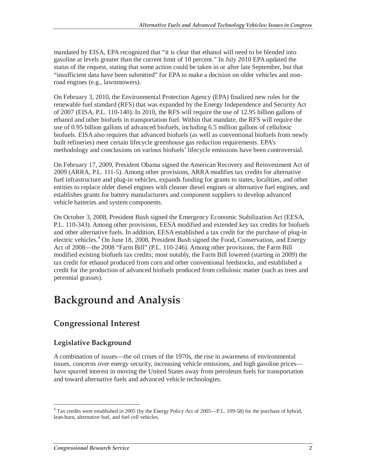mandated by EISA, EPA recognized that "it is clear that ethanol will need to be blended into gasoline at levels greater than the current limit of 10 percent." In July 2010 EPA updated the status of the request, stating that some action could be taken in or after late September, but that "insufficient data have been submitted" for EPA to make a decision on older vehicles and nonroad engines (e.g., lawnmowers).

On February 3, 2010, the Environmental Protection Agency (EPA) finalized new rules for the renewable fuel standard (RFS) that was expanded by the Energy Independence and Security Act of 2007 (EISA, P.L. 110-140). In 2010, the RFS will require the use of 12.95 billion gallons of ethanol and other biofuels in transportation fuel. Within that mandate, the RFS will require the use of 0.95 billion gallons of advanced biofuels, including 6.5 million gallons of cellulosic biofuels. EISA also requires that advanced biofuels (as well as conventional biofuels from newly built refineries) meet certain lifecycle greenhouse gas reduction requirements. EPA's methodology and conclusions on various biofuels' lifecycle emissions have been controversial.

On February 17, 2009, President Obama signed the American Recovery and Reinvestment Act of 2009 (ARRA, P.L. 111-5). Among other provisions, ARRA modifies tax credits for alternative fuel infrastructure and plug-in vehicles, expands funding for grants to states, localities, and other entities to replace older diesel engines with cleaner diesel engines or alternative fuel engines, and establishes grants for battery manufacturers and component suppliers to develop advanced vehicle batteries and system components.

On October 3, 2008, President Bush signed the Emergency Economic Stabilization Act (EESA, P.L. 110-343). Among other provisions, EESA modified and extended key tax credits for biofuels and other alternative fuels. In addition, EESA established a tax credit for the purchase of plug-in electric vehicles.<sup>4</sup> On June 18, 2008, President Bush signed the Food, Conservation, and Energy Act of 2008—the 2008 "Farm Bill" (P.L. 110-246). Among other provisions, the Farm Bill modified existing biofuels tax credits; most notably, the Farm Bill lowered (starting in 2009) the tax credit for ethanol produced from corn and other conventional feedstocks, and established a credit for the production of advanced biofuels produced from cellulosic matter (such as trees and perennial grasses).

# **Background and Analysis**

## **Congressional Interest**

#### **Legislative Background**

A combination of issues—the oil crises of the 1970s, the rise in awareness of environmental issues, concerns over energy security, increasing vehicle emissions, and high gasoline prices have spurred interest in moving the United States away from petroleum fuels for transportation and toward alternative fuels and advanced vehicle technologies.

<sup>-</sup>4 Tax credits were established in 2005 (by the Energy Policy Act of 2005—P.L. 109-58) for the purchase of hybrid, lean-burn, alternative fuel, and fuel cell vehicles.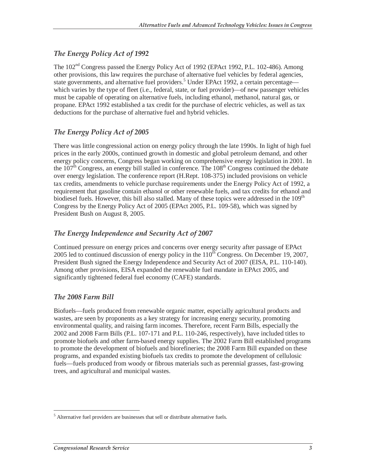#### *The Energy Policy Act of 1992*

The 102<sup>nd</sup> Congress passed the Energy Policy Act of 1992 (EPAct 1992, P.L. 102-486). Among other provisions, this law requires the purchase of alternative fuel vehicles by federal agencies, state governments, and alternative fuel providers.<sup>5</sup> Under EPAct 1992, a certain percentage which varies by the type of fleet (i.e., federal, state, or fuel provider)—of new passenger vehicles must be capable of operating on alternative fuels, including ethanol, methanol, natural gas, or propane. EPAct 1992 established a tax credit for the purchase of electric vehicles, as well as tax deductions for the purchase of alternative fuel and hybrid vehicles.

#### *The Energy Policy Act of 2005*

There was little congressional action on energy policy through the late 1990s. In light of high fuel prices in the early 2000s, continued growth in domestic and global petroleum demand, and other energy policy concerns, Congress began working on comprehensive energy legislation in 2001. In the  $107<sup>th</sup>$  Congress, an energy bill stalled in conference. The  $108<sup>th</sup>$  Congress continued the debate over energy legislation. The conference report (H.Rept. 108-375) included provisions on vehicle tax credits, amendments to vehicle purchase requirements under the Energy Policy Act of 1992, a requirement that gasoline contain ethanol or other renewable fuels, and tax credits for ethanol and biodiesel fuels. However, this bill also stalled. Many of these topics were addressed in the 109<sup>th</sup> Congress by the Energy Policy Act of 2005 (EPAct 2005, P.L. 109-58), which was signed by President Bush on August 8, 2005.

#### *The Energy Independence and Security Act of 2007*

Continued pressure on energy prices and concerns over energy security after passage of EPAct 2005 led to continued discussion of energy policy in the  $110^{th}$  Congress. On December 19, 2007, President Bush signed the Energy Independence and Security Act of 2007 (EISA, P.L. 110-140). Among other provisions, EISA expanded the renewable fuel mandate in EPAct 2005, and significantly tightened federal fuel economy (CAFE) standards.

#### *The 2008 Farm Bill*

Biofuels—fuels produced from renewable organic matter, especially agricultural products and wastes, are seen by proponents as a key strategy for increasing energy security, promoting environmental quality, and raising farm incomes. Therefore, recent Farm Bills, especially the 2002 and 2008 Farm Bills (P.L. 107-171 and P.L. 110-246, respectively), have included titles to promote biofuels and other farm-based energy supplies. The 2002 Farm Bill established programs to promote the development of biofuels and biorefineries; the 2008 Farm Bill expanded on these programs, and expanded existing biofuels tax credits to promote the development of cellulosic fuels—fuels produced from woody or fibrous materials such as perennial grasses, fast-growing trees, and agricultural and municipal wastes.

<sup>-</sup><sup>5</sup> Alternative fuel providers are businesses that sell or distribute alternative fuels.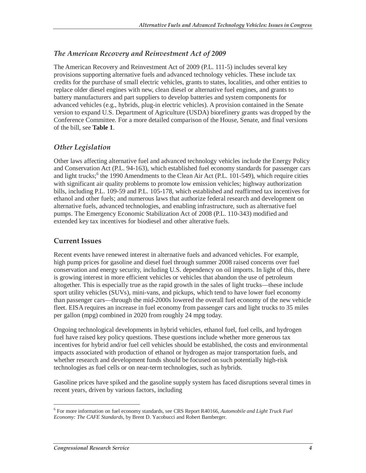#### *The American Recovery and Reinvestment Act of 2009*

The American Recovery and Reinvestment Act of 2009 (P.L. 111-5) includes several key provisions supporting alternative fuels and advanced technology vehicles. These include tax credits for the purchase of small electric vehicles, grants to states, localities, and other entities to replace older diesel engines with new, clean diesel or alternative fuel engines, and grants to battery manufacturers and part suppliers to develop batteries and system components for advanced vehicles (e.g., hybrids, plug-in electric vehicles). A provision contained in the Senate version to expand U.S. Department of Agriculture (USDA) biorefinery grants was dropped by the Conference Committee. For a more detailed comparison of the House, Senate, and final versions of the bill, see **Table 1**.

#### *Other Legislation*

Other laws affecting alternative fuel and advanced technology vehicles include the Energy Policy and Conservation Act (P.L. 94-163), which established fuel economy standards for passenger cars and light trucks;<sup>6</sup> the 1990 Amendments to the Clean Air Act (P.L. 101-549), which require cities with significant air quality problems to promote low emission vehicles; highway authorization bills, including P.L. 109-59 and P.L. 105-178, which established and reaffirmed tax incentives for ethanol and other fuels; and numerous laws that authorize federal research and development on alternative fuels, advanced technologies, and enabling infrastructure, such as alternative fuel pumps. The Emergency Economic Stabilization Act of 2008 (P.L. 110-343) modified and extended key tax incentives for biodiesel and other alterative fuels.

#### **Current Issues**

Recent events have renewed interest in alternative fuels and advanced vehicles. For example, high pump prices for gasoline and diesel fuel through summer 2008 raised concerns over fuel conservation and energy security, including U.S. dependency on oil imports. In light of this, there is growing interest in more efficient vehicles or vehicles that abandon the use of petroleum altogether. This is especially true as the rapid growth in the sales of light trucks—these include sport utility vehicles (SUVs), mini-vans, and pickups, which tend to have lower fuel economy than passenger cars—through the mid-2000s lowered the overall fuel economy of the new vehicle fleet. EISA requires an increase in fuel economy from passenger cars and light trucks to 35 miles per gallon (mpg) combined in 2020 from roughly 24 mpg today.

Ongoing technological developments in hybrid vehicles, ethanol fuel, fuel cells, and hydrogen fuel have raised key policy questions. These questions include whether more generous tax incentives for hybrid and/or fuel cell vehicles should be established, the costs and environmental impacts associated with production of ethanol or hydrogen as major transportation fuels, and whether research and development funds should be focused on such potentially high-risk technologies as fuel cells or on near-term technologies, such as hybrids.

Gasoline prices have spiked and the gasoline supply system has faced disruptions several times in recent years, driven by various factors, including

<sup>-</sup>6 For more information on fuel economy standards, see CRS Report R40166, *Automobile and Light Truck Fuel Economy: The CAFE Standards*, by Brent D. Yacobucci and Robert Bamberger.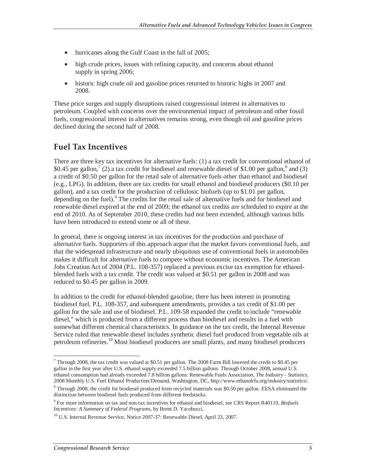- hurricanes along the Gulf Coast in the fall of 2005;
- high crude prices, issues with refining capacity, and concerns about ethanol supply in spring 2006;
- historic high crude oil and gasoline prices returned to historic highs in 2007 and 2008.

These price surges and supply disruptions raised congressional interest in alternatives to petroleum. Coupled with concerns over the environmental impact of petroleum and other fossil fuels, congressional interest in alternatives remains strong, even though oil and gasoline prices declined during the second half of 2008.

#### **Fuel Tax Incentives**

There are three key tax incentives for alternative fuels: (1) a tax credit for conventional ethanol of \$0.45 per gallon,<sup>7</sup> (2) a tax credit for biodiesel and renewable diesel of \$1.00 per gallon,<sup>8</sup> and (3) a credit of \$0.50 per gallon for the retail sale of alternative fuels other than ethanol and biodiesel (e.g., LPG). In addition, there are tax credits for small ethanol and biodiesel producers (\$0.10 per gallon), and a tax credit for the production of cellulosic biofuels (up to \$1.01 per gallon, depending on the fuel).<sup>9</sup> The credits for the retail sale of alternative fuels and for biodiesel and renewable diesel expired at the end of 2009; the ethanol tax credits are scheduled to expire at the end of 2010. As of September 2010, these credits had not been extended, although various bills have been introduced to extend some or all of these.

In general, there is ongoing interest in tax incentives for the production and purchase of alternative fuels. Supporters of this approach argue that the market favors conventional fuels, and that the widespread infrastructure and nearly ubiquitous use of conventional fuels in automobiles makes it difficult for alternative fuels to compete without economic incentives. The American Jobs Creation Act of 2004 (P.L. 108-357) replaced a previous excise tax exemption for ethanolblended fuels with a tax credit. The credit was valued at \$0.51 per gallon in 2008 and was reduced to \$0.45 per gallon in 2009.

In addition to the credit for ethanol-blended gasoline, there has been interest in promoting biodiesel fuel. P.L. 108-357, and subsequent amendments, provides a tax credit of \$1.00 per gallon for the sale and use of biodiesel. P.L. 109-58 expanded the credit to include "renewable diesel," which is produced from a different process than biodiesel and results in a fuel with somewhat different chemical characteristics. In guidance on the tax credit, the Internal Revenue Service ruled that renewable diesel includes synthetic diesel fuel produced from vegetable oils at petroleum refineries.10 Most biodiesel producers are small plants, and many biodiesel producers

Through 2008, the tax credit was valued at \$0.51 per gallon. The 2008 Farm Bill lowered the credit to \$0.45 per gallon in the first year after U.S. ethanol supply exceeded 7.5 billion gallons. Through October 2008, annual U.S. ethanol consumption had already exceeded 7.8 billion gallons: Renewable Fuels Association, *The Industry - Statistics*, 2008 Monthly U.S. Fuel Ethanol Production/Demand, Washington, DC, http://www.ethanolrfa.org/industry/statistics/.

<sup>&</sup>lt;sup>8</sup> Through 2008, the credit for biodiesel produced from recycled materials was \$0.50 per gallon. EESA eliminated the distinction between biodiesel fuels produced from different feedstocks.

<sup>9</sup> For more information on tax and non-tax incentives for ethanol and biodiesel, see CRS Report R40110, *Biofuels Incentives: A Summary of Federal Programs*, by Brent D. Yacobucci.

<sup>&</sup>lt;sup>10</sup> U.S. Internal Revenue Service, Notice 2007-37: Renewable Diesel, April 23, 2007.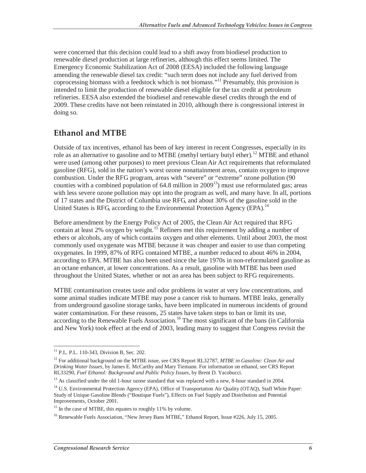were concerned that this decision could lead to a shift away from biodiesel production to renewable diesel production at large refineries, although this effect seems limited. The Emergency Economic Stabilization Act of 2008 (EESA) included the following language amending the renewable diesel tax credit: "such term does not include any fuel derived from coprocessing biomass with a feedstock which is not biomass."11 Presumably, this provision is intended to limit the production of renewable diesel eligible for the tax credit at petroleum refineries. EESA also extended the biodiesel and renewable diesel credits through the end of 2009. These credits have not been reinstated in 2010, although there is congressional interest in doing so.

#### **Ethanol and MTBE**

Outside of tax incentives, ethanol has been of key interest in recent Congresses, especially in its role as an alternative to gasoline and to MTBE (methyl tertiary butyl ether).<sup>12</sup> MTBE and ethanol were used (among other purposes) to meet previous Clean Air Act requirements that reformulated gasoline (RFG), sold in the nation's worst ozone nonattainment areas, contain oxygen to improve combustion. Under the RFG program, areas with "severe" or "extreme" ozone pollution (90 counties with a combined population of 64.8 million in  $2009<sup>13</sup>$  must use reformulated gas; areas with less severe ozone pollution may opt into the program as well, and many have. In all, portions of 17 states and the District of Columbia use RFG, and about 30% of the gasoline sold in the United States is RFG, according to the Environmental Protection Agency (EPA).<sup>14</sup>

Before amendment by the Energy Policy Act of 2005, the Clean Air Act required that RFG contain at least 2% oxygen by weight.<sup>15</sup> Refiners met this requirement by adding a number of ethers or alcohols, any of which contains oxygen and other elements. Until about 2003, the most commonly used oxygenate was MTBE because it was cheaper and easier to use than competing oxygenates. In 1999, 87% of RFG contained MTBE, a number reduced to about 46% in 2004, according to EPA. MTBE has also been used since the late 1970s in non-reformulated gasoline as an octane enhancer, at lower concentrations. As a result, gasoline with MTBE has been used throughout the United States, whether or not an area has been subject to RFG requirements.

MTBE contamination creates taste and odor problems in water at very low concentrations, and some animal studies indicate MTBE may pose a cancer risk to humans. MTBE leaks, generally from underground gasoline storage tanks, have been implicated in numerous incidents of ground water contamination. For these reasons, 25 states have taken steps to ban or limit its use, according to the Renewable Fuels Association.<sup>16</sup> The most significant of the bans (in California and New York) took effect at the end of 2003, leading many to suggest that Congress revisit the

-

<sup>11</sup> P.L. P.L. 110-343, Division B, Sec. 202.

<sup>12</sup> For additional background on the MTBE issue, see CRS Report RL32787, *MTBE in Gasoline: Clean Air and Drinking Water Issues*, by James E. McCarthy and Mary Tiemann. For information on ethanol, see CRS Report RL33290, *Fuel Ethanol: Background and Public Policy Issues*, by Brent D. Yacobucci.

<sup>&</sup>lt;sup>13</sup> As classified under the old 1-hour ozone standard that was replaced with a new, 8-hour standard in 2004.

<sup>&</sup>lt;sup>14</sup> U.S. Environmental Protection Agency (EPA), Office of Transportation Air Quality (OTAQ), Staff White Paper: Study of Unique Gasoline Blends ("Boutique Fuels"), Effects on Fuel Supply and Distribution and Potential Improvements, October 2001.

<sup>&</sup>lt;sup>15</sup> In the case of MTBE, this equates to roughly 11% by volume.

<sup>&</sup>lt;sup>16</sup> Renewable Fuels Association, "New Jersey Bans MTBE," Ethanol Report, Issue #226, July 15, 2005.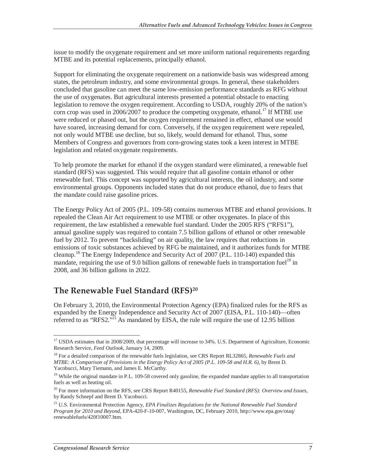issue to modify the oxygenate requirement and set more uniform national requirements regarding MTBE and its potential replacements, principally ethanol.

Support for eliminating the oxygenate requirement on a nationwide basis was widespread among states, the petroleum industry, and some environmental groups. In general, these stakeholders concluded that gasoline can meet the same low-emission performance standards as RFG without the use of oxygenates. But agricultural interests presented a potential obstacle to enacting legislation to remove the oxygen requirement. According to USDA, roughly 20% of the nation's corn crop was used in 2006/2007 to produce the competing oxygenate, ethanol.<sup>17</sup> If MTBE use were reduced or phased out, but the oxygen requirement remained in effect, ethanol use would have soared, increasing demand for corn. Conversely, if the oxygen requirement were repealed, not only would MTBE use decline, but so, likely, would demand for ethanol. Thus, some Members of Congress and governors from corn-growing states took a keen interest in MTBE legislation and related oxygenate requirements.

To help promote the market for ethanol if the oxygen standard were eliminated, a renewable fuel standard (RFS) was suggested. This would require that all gasoline contain ethanol or other renewable fuel. This concept was supported by agricultural interests, the oil industry, and some environmental groups. Opponents included states that do not produce ethanol, due to fears that the mandate could raise gasoline prices.

The Energy Policy Act of 2005 (P.L. 109-58) contains numerous MTBE and ethanol provisions. It repealed the Clean Air Act requirement to use MTBE or other oxygenates. In place of this requirement, the law established a renewable fuel standard. Under the 2005 RFS ("RFS1"), annual gasoline supply was required to contain 7.5 billion gallons of ethanol or other renewable fuel by 2012. To prevent "backsliding" on air quality, the law requires that reductions in emissions of toxic substances achieved by RFG be maintained, and it authorizes funds for MTBE cleanup.<sup>18</sup> The Energy Independence and Security Act of 2007 (P.L. 110-140) expanded this mandate, requiring the use of 9.0 billion gallons of renewable fuels in transportation fuel<sup>19</sup> in 2008, and 36 billion gallons in 2022.

#### **The Renewable Fuel Standard (RFS)20**

On February 3, 2010, the Environmental Protection Agency (EPA) finalized rules for the RFS as expanded by the Energy Independence and Security Act of 2007 (EISA, P.L. 110-140)—often referred to as "RFS2."<sup>21</sup> As mandated by EISA, the rule will require the use of 12.95 billion

 $\overline{a}$ <sup>17</sup> USDA estimates that in 2008/2009, that percentage will increase to 34%. U.S. Department of Agriculture, Economic Research Service, *Feed Outlook*, January 14, 2009.

<sup>18</sup> For a detailed comparison of the renewable fuels legislation, see CRS Report RL32865, *Renewable Fuels and MTBE: A Comparison of Provisions in the Energy Policy Act of 2005 (P.L. 109-58 and H.R. 6)*, by Brent D. Yacobucci, Mary Tiemann, and James E. McCarthy.

<sup>&</sup>lt;sup>19</sup> While the original mandate in P.L. 109-58 covered only gasoline, the expanded mandate applies to all transportation fuels as well as heating oil.

<sup>20</sup> For more information on the RFS, see CRS Report R40155, *Renewable Fuel Standard (RFS): Overview and Issues*, by Randy Schnepf and Brent D. Yacobucci.

<sup>21</sup> U.S. Environmental Protection Agency, *EPA Finalizes Regulations for the National Renewable Fuel Standard Program for 2010 and Beyond*, EPA-420-F-10-007, Washington, DC, February 2010, http://www.epa.gov/otaq/ renewablefuels/420f10007.htm.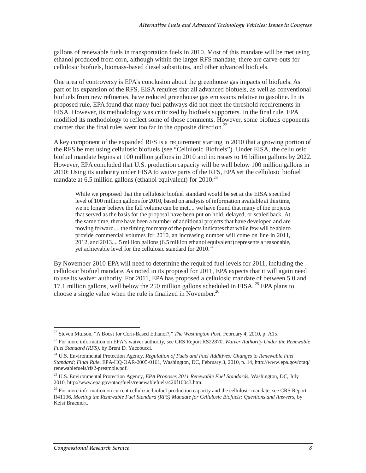gallons of renewable fuels in transportation fuels in 2010. Most of this mandate will be met using ethanol produced from corn, although within the larger RFS mandate, there are carve-outs for cellulosic biofuels, biomass-based diesel substitutes, and other advanced biofuels.

One area of controversy is EPA's conclusion about the greenhouse gas impacts of biofuels. As part of its expansion of the RFS, EISA requires that all advanced biofuels, as well as conventional biofuels from new refineries, have reduced greenhouse gas emissions relative to gasoline. In its proposed rule, EPA found that many fuel pathways did not meet the threshold requirements in EISA. However, its methodology was criticized by biofuels supporters. In the final rule, EPA modified its methodology to reflect some of those comments. However, some biofuels opponents counter that the final rules went too far in the opposite direction.<sup>22</sup>

A key component of the expanded RFS is a requirement starting in 2010 that a growing portion of the RFS be met using cellulosic biofuels (see "Cellulosic Biofuels"). Under EISA, the cellulosic biofuel mandate begins at 100 million gallons in 2010 and increases to 16 billion gallons by 2022. However, EPA concluded that U.S. production capacity will be well below 100 million gallons in 2010: Using its authority under EISA to waive parts of the RFS, EPA set the cellulosic biofuel mandate at 6.5 million gallons (ethanol equivalent) for 2010.<sup>23</sup>

While we proposed that the cellulosic biofuel standard would be set at the EISA specified level of 100 million gallons for 2010, based on analysis of information available at this time, we no longer believe the full volume can be met.... we have found that many of the projects that served as the basis for the proposal have been put on hold, delayed, or scaled back. At the same time, there have been a number of additional projects that have developed and are moving forward.... the timing for many of the projects indicates that while few will be able to provide commercial volumes for 2010, an increasing number will come on line in 2011, 2012, and 2013.... 5 million gallons (6.5 million ethanol equivalent) represents a reasonable, yet achievable level for the cellulosic standard for  $2010^{24}$ 

By November 2010 EPA will need to determine the required fuel levels for 2011, including the cellulosic biofuel mandate. As noted in its proposal for 2011, EPA expects that it will again need to use its waiver authority. For 2011, EPA has proposed a cellulosic mandate of between 5.0 and 17.1 million gallons, well below the 250 million gallons scheduled in EISA. <sup>25</sup> EPA plans to choose a single value when the rule is finalized in November.<sup>26</sup>

<sup>-</sup>22 Steven Mufson, "A Boost for Corn-Based Ethanol?," *The Washington Post*, February 4, 2010, p. A15.

<sup>23</sup> For more information on EPA's waiver authority, see CRS Report RS22870, *Waiver Authority Under the Renewable Fuel Standard (RFS)*, by Brent D. Yacobucci.

<sup>24</sup> U.S. Environmental Protection Agency, *Regulation of Fuels and Fuel Additives: Changes to Renewable Fuel Standard; Final Rule*, EPA-HQ-OAR-2005-0161, Washington, DC, February 3, 2010, p. 14, http://www.epa.gov/otaq/ renewablefuels/rfs2-preamble.pdf.

<sup>25</sup> U.S. Environmental Protection Agency, *EPA Proposes 2011 Renewable Fuel Standards*, Washington, DC, July 2010, http://www.epa.gov/otaq/fuels/renewablefuels/420f10043.htm.

<sup>&</sup>lt;sup>26</sup> For more information on current cellulosic biofuel production capacity and the cellulosic mandate, see CRS Report R41106, *Meeting the Renewable Fuel Standard (RFS) Mandate for Cellulosic Biofuels: Questions and Answers*, by Kelsi Bracmort.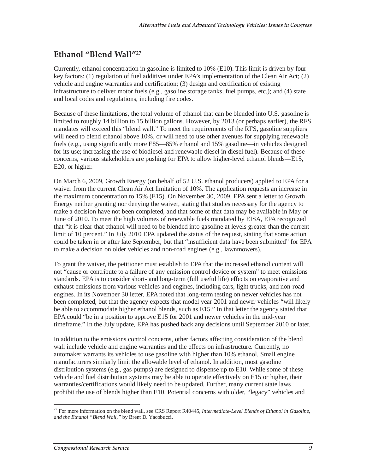#### **Ethanol "Blend Wall"27**

Currently, ethanol concentration in gasoline is limited to 10% (E10). This limit is driven by four key factors: (1) regulation of fuel additives under EPA's implementation of the Clean Air Act; (2) vehicle and engine warranties and certification; (3) design and certification of existing infrastructure to deliver motor fuels (e.g., gasoline storage tanks, fuel pumps, etc.); and (4) state and local codes and regulations, including fire codes.

Because of these limitations, the total volume of ethanol that can be blended into U.S. gasoline is limited to roughly 14 billion to 15 billion gallons. However, by 2013 (or perhaps earlier), the RFS mandates will exceed this "blend wall." To meet the requirements of the RFS, gasoline suppliers will need to blend ethanol above 10%, or will need to use other avenues for supplying renewable fuels (e.g., using significantly more E85—85% ethanol and 15% gasoline—in vehicles designed for its use; increasing the use of biodiesel and renewable diesel in diesel fuel). Because of these concerns, various stakeholders are pushing for EPA to allow higher-level ethanol blends—E15, E20, or higher.

On March 6, 2009, Growth Energy (on behalf of 52 U.S. ethanol producers) applied to EPA for a waiver from the current Clean Air Act limitation of 10%. The application requests an increase in the maximum concentration to 15% (E15). On November 30, 2009, EPA sent a letter to Growth Energy neither granting nor denying the waiver, stating that studies necessary for the agency to make a decision have not been completed, and that some of that data may be available in May or June of 2010. To meet the high volumes of renewable fuels mandated by EISA, EPA recognized that "it is clear that ethanol will need to be blended into gasoline at levels greater than the current limit of 10 percent." In July 2010 EPA updated the status of the request, stating that some action could be taken in or after late September, but that "insufficient data have been submitted" for EPA to make a decision on older vehicles and non-road engines (e.g., lawnmowers).

To grant the waiver, the petitioner must establish to EPA that the increased ethanol content will not "cause or contribute to a failure of any emission control device or system" to meet emissions standards. EPA is to consider short- and long-term (full useful life) effects on evaporative and exhaust emissions from various vehicles and engines, including cars, light trucks, and non-road engines. In its November 30 letter, EPA noted that long-term testing on newer vehicles has not been completed, but that the agency expects that model year 2001 and newer vehicles "will likely be able to accommodate higher ethanol blends, such as E15." In that letter the agency stated that EPA could "be in a position to approve E15 for 2001 and newer vehicles in the mid-year timeframe." In the July update, EPA has pushed back any decisions until September 2010 or later.

In addition to the emissions control concerns, other factors affecting consideration of the blend wall include vehicle and engine warranties and the effects on infrastructure. Currently, no automaker warrants its vehicles to use gasoline with higher than 10% ethanol. Small engine manufacturers similarly limit the allowable level of ethanol. In addition, most gasoline distribution systems (e.g., gas pumps) are designed to dispense up to E10. While some of these vehicle and fuel distribution systems may be able to operate effectively on E15 or higher, their warranties/certifications would likely need to be updated. Further, many current state laws prohibit the use of blends higher than E10. Potential concerns with older, "legacy" vehicles and

-

<sup>27</sup> For more information on the blend wall, see CRS Report R40445, *Intermediate-Level Blends of Ethanol in Gasoline, and the Ethanol "Blend Wall,"* by Brent D. Yacobucci.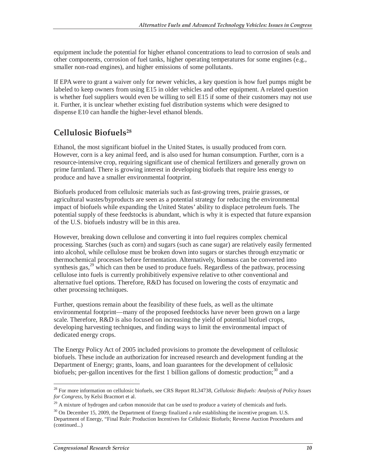equipment include the potential for higher ethanol concentrations to lead to corrosion of seals and other components, corrosion of fuel tanks, higher operating temperatures for some engines (e.g., smaller non-road engines), and higher emissions of some pollutants.

If EPA were to grant a waiver only for newer vehicles, a key question is how fuel pumps might be labeled to keep owners from using E15 in older vehicles and other equipment. A related question is whether fuel suppliers would even be willing to sell E15 if some of their customers may not use it. Further, it is unclear whether existing fuel distribution systems which were designed to dispense E10 can handle the higher-level ethanol blends.

## **Cellulosic Biofuels28**

Ethanol, the most significant biofuel in the United States, is usually produced from corn. However, corn is a key animal feed, and is also used for human consumption. Further, corn is a resource-intensive crop, requiring significant use of chemical fertilizers and generally grown on prime farmland. There is growing interest in developing biofuels that require less energy to produce and have a smaller environmental footprint.

Biofuels produced from cellulosic materials such as fast-growing trees, prairie grasses, or agricultural wastes/byproducts are seen as a potential strategy for reducing the environmental impact of biofuels while expanding the United States' ability to displace petroleum fuels. The potential supply of these feedstocks is abundant, which is why it is expected that future expansion of the U.S. biofuels industry will be in this area.

However, breaking down cellulose and converting it into fuel requires complex chemical processing. Starches (such as corn) and sugars (such as cane sugar) are relatively easily fermented into alcohol, while cellulose must be broken down into sugars or starches through enzymatic or thermochemical processes before fermentation. Alternatively, biomass can be converted into synthesis gas,<sup>29</sup> which can then be used to produce fuels. Regardless of the pathway, processing cellulose into fuels is currently prohibitively expensive relative to other conventional and alternative fuel options. Therefore, R&D has focused on lowering the costs of enzymatic and other processing techniques.

Further, questions remain about the feasibility of these fuels, as well as the ultimate environmental footprint—many of the proposed feedstocks have never been grown on a large scale. Therefore, R&D is also focused on increasing the yield of potential biofuel crops, developing harvesting techniques, and finding ways to limit the environmental impact of dedicated energy crops.

The Energy Policy Act of 2005 included provisions to promote the development of cellulosic biofuels. These include an authorization for increased research and development funding at the Department of Energy; grants, loans, and loan guarantees for the development of cellulosic biofuels; per-gallon incentives for the first 1 billion gallons of domestic production;<sup>30</sup> and a

 $\overline{a}$ 28 For more information on cellulosic biofuels, see CRS Report RL34738, *Cellulosic Biofuels: Analysis of Policy Issues for Congress*, by Kelsi Bracmort et al.

<sup>&</sup>lt;sup>29</sup> A mixture of hydrogen and carbon monoxide that can be used to produce a variety of chemicals and fuels.

 $30$  On December 15, 2009, the Department of Energy finalized a rule establishing the incentive program. U.S. Department of Energy, "Final Rule: Production Incentives for Cellulosic Biofuels; Reverse Auction Procedures and (continued...)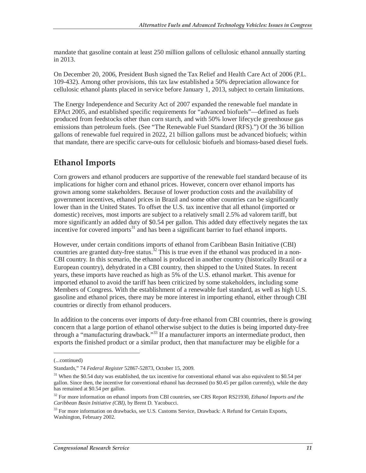mandate that gasoline contain at least 250 million gallons of cellulosic ethanol annually starting in 2013.

On December 20, 2006, President Bush signed the Tax Relief and Health Care Act of 2006 (P.L. 109-432). Among other provisions, this tax law established a 50% depreciation allowance for cellulosic ethanol plants placed in service before January 1, 2013, subject to certain limitations.

The Energy Independence and Security Act of 2007 expanded the renewable fuel mandate in EPAct 2005, and established specific requirements for "advanced biofuels"—defined as fuels produced from feedstocks other than corn starch, and with 50% lower lifecycle greenhouse gas emissions than petroleum fuels. (See "The Renewable Fuel Standard (RFS).") Of the 36 billion gallons of renewable fuel required in 2022, 21 billion gallons must be advanced biofuels; within that mandate, there are specific carve-outs for cellulosic biofuels and biomass-based diesel fuels.

## **Ethanol Imports**

Corn growers and ethanol producers are supportive of the renewable fuel standard because of its implications for higher corn and ethanol prices. However, concern over ethanol imports has grown among some stakeholders. Because of lower production costs and the availability of government incentives, ethanol prices in Brazil and some other countries can be significantly lower than in the United States. To offset the U.S. tax incentive that all ethanol (imported or domestic) receives, most imports are subject to a relatively small 2.5% ad valorem tariff, but more significantly an added duty of \$0.54 per gallon. This added duty effectively negates the tax incentive for covered imports $31$  and has been a significant barrier to fuel ethanol imports.

However, under certain conditions imports of ethanol from Caribbean Basin Initiative (CBI) countries are granted duty-free status.<sup>32</sup> This is true even if the ethanol was produced in a non-CBI country. In this scenario, the ethanol is produced in another country (historically Brazil or a European country), dehydrated in a CBI country, then shipped to the United States. In recent years, these imports have reached as high as 5% of the U.S. ethanol market. This avenue for imported ethanol to avoid the tariff has been criticized by some stakeholders, including some Members of Congress. With the establishment of a renewable fuel standard, as well as high U.S. gasoline and ethanol prices, there may be more interest in importing ethanol, either through CBI countries or directly from ethanol producers.

In addition to the concerns over imports of duty-free ethanol from CBI countries, there is growing concern that a large portion of ethanol otherwise subject to the duties is being imported duty-free through a "manufacturing drawback."<sup>33</sup> If a manufacturer imports an intermediate product, then exports the finished product or a similar product, then that manufacturer may be eligible for a

<u>.</u>

<sup>(...</sup>continued)

Standards," 74 *Federal Register* 52867-52873, October 15, 2009.

<sup>&</sup>lt;sup>31</sup> When the \$0.54 duty was established, the tax incentive for conventional ethanol was also equivalent to \$0.54 per gallon. Since then, the incentive for conventional ethanol has decreased (to \$0.45 per gallon currently), while the duty has remained at \$0.54 per gallon.

<sup>32</sup> For more information on ethanol imports from CBI countries, see CRS Report RS21930, *Ethanol Imports and the Caribbean Basin Initiative (CBI)*, by Brent D. Yacobucci.

<sup>&</sup>lt;sup>33</sup> For more information on drawbacks, see U.S. Customs Service, Drawback: A Refund for Certain Exports, Washington, February 2002.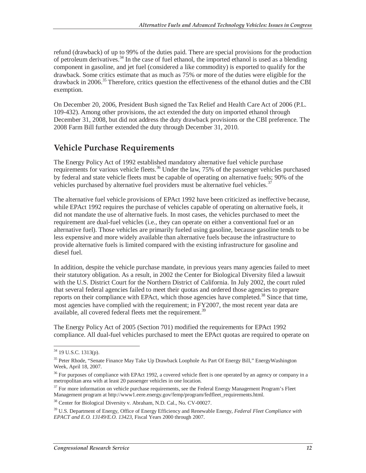refund (drawback) of up to 99% of the duties paid. There are special provisions for the production of petroleum derivatives.34 In the case of fuel ethanol, the imported ethanol is used as a blending component in gasoline, and jet fuel (considered a like commodity) is exported to qualify for the drawback. Some critics estimate that as much as 75% or more of the duties were eligible for the drawback in 2006.<sup>35</sup> Therefore, critics question the effectiveness of the ethanol duties and the CBI exemption.

On December 20, 2006, President Bush signed the Tax Relief and Health Care Act of 2006 (P.L. 109-432). Among other provisions, the act extended the duty on imported ethanol through December 31, 2008, but did not address the duty drawback provisions or the CBI preference. The 2008 Farm Bill further extended the duty through December 31, 2010.

#### **Vehicle Purchase Requirements**

The Energy Policy Act of 1992 established mandatory alternative fuel vehicle purchase requirements for various vehicle fleets.<sup>36</sup> Under the law, 75% of the passenger vehicles purchased by federal and state vehicle fleets must be capable of operating on alternative fuels; 90% of the vehicles purchased by alternative fuel providers must be alternative fuel vehicles.<sup>37</sup>

The alternative fuel vehicle provisions of EPAct 1992 have been criticized as ineffective because, while EPAct 1992 requires the purchase of vehicles capable of operating on alternative fuels, it did not mandate the use of alternative fuels. In most cases, the vehicles purchased to meet the requirement are dual-fuel vehicles (i.e., they can operate on either a conventional fuel or an alternative fuel). Those vehicles are primarily fueled using gasoline, because gasoline tends to be less expensive and more widely available than alternative fuels because the infrastructure to provide alternative fuels is limited compared with the existing infrastructure for gasoline and diesel fuel.

In addition, despite the vehicle purchase mandate, in previous years many agencies failed to meet their statutory obligation. As a result, in 2002 the Center for Biological Diversity filed a lawsuit with the U.S. District Court for the Northern District of California. In July 2002, the court ruled that several federal agencies failed to meet their quotas and ordered those agencies to prepare reports on their compliance with EPAct, which those agencies have completed.<sup>38</sup> Since that time, most agencies have complied with the requirement; in FY2007, the most recent year data are available, all covered federal fleets met the requirement.<sup>39</sup>

The Energy Policy Act of 2005 (Section 701) modified the requirements for EPAct 1992 compliance. All dual-fuel vehicles purchased to meet the EPAct quotas are required to operate on

-

<sup>38</sup> Center for Biological Diversity v. Abraham, N.D. Cal., No. CV-00027.

<sup>&</sup>lt;sup>34</sup> 19 U.S.C. 1313(p).

<sup>&</sup>lt;sup>35</sup> Peter Rhode, "Senate Finance May Take Up Drawback Loophole As Part Of Energy Bill," EnergyWashington Week, April 18, 2007.

<sup>&</sup>lt;sup>36</sup> For purposes of compliance with EPAct 1992, a covered vehicle fleet is one operated by an agency or company in a metropolitan area with at least 20 passenger vehicles in one location.

<sup>&</sup>lt;sup>37</sup> For more information on vehicle purchase requirements, see the Federal Energy Management Program's Fleet Management program at http://www1.eere.energy.gov/femp/program/fedfleet\_requirements.html.

<sup>39</sup> U.S. Department of Energy, Office of Energy Efficiency and Renewable Energy, *Federal Fleet Compliance with EPACT and E.O. 13149/E.O. 13423,* Fiscal Years 2000 through 2007.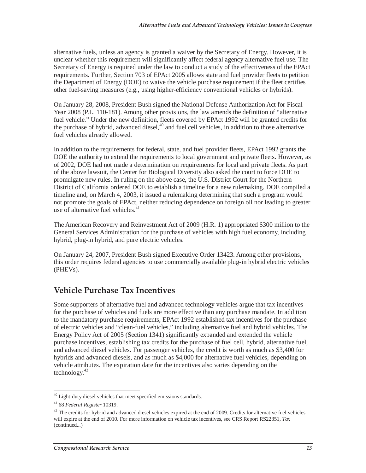alternative fuels, unless an agency is granted a waiver by the Secretary of Energy. However, it is unclear whether this requirement will significantly affect federal agency alternative fuel use. The Secretary of Energy is required under the law to conduct a study of the effectiveness of the EPAct requirements. Further, Section 703 of EPAct 2005 allows state and fuel provider fleets to petition the Department of Energy (DOE) to waive the vehicle purchase requirement if the fleet certifies other fuel-saving measures (e.g., using higher-efficiency conventional vehicles or hybrids).

On January 28, 2008, President Bush signed the National Defense Authorization Act for Fiscal Year 2008 (P.L. 110-181). Among other provisions, the law amends the definition of "alternative fuel vehicle." Under the new definition, fleets covered by EPAct 1992 will be granted credits for the purchase of hybrid, advanced diesel, $40$  and fuel cell vehicles, in addition to those alternative fuel vehicles already allowed.

In addition to the requirements for federal, state, and fuel provider fleets, EPAct 1992 grants the DOE the authority to extend the requirements to local government and private fleets. However, as of 2002, DOE had not made a determination on requirements for local and private fleets. As part of the above lawsuit, the Center for Biological Diversity also asked the court to force DOE to promulgate new rules. In ruling on the above case, the U.S. District Court for the Northern District of California ordered DOE to establish a timeline for a new rulemaking. DOE compiled a timeline and, on March 4, 2003, it issued a rulemaking determining that such a program would not promote the goals of EPAct, neither reducing dependence on foreign oil nor leading to greater use of alternative fuel vehicles.<sup>41</sup>

The American Recovery and Reinvestment Act of 2009 (H.R. 1) appropriated \$300 million to the General Services Administration for the purchase of vehicles with high fuel economy, including hybrid, plug-in hybrid, and pure electric vehicles.

On January 24, 2007, President Bush signed Executive Order 13423. Among other provisions, this order requires federal agencies to use commercially available plug-in hybrid electric vehicles (PHEVs).

## **Vehicle Purchase Tax Incentives**

Some supporters of alternative fuel and advanced technology vehicles argue that tax incentives for the purchase of vehicles and fuels are more effective than any purchase mandate. In addition to the mandatory purchase requirements, EPAct 1992 established tax incentives for the purchase of electric vehicles and "clean-fuel vehicles," including alternative fuel and hybrid vehicles. The Energy Policy Act of 2005 (Section 1341) significantly expanded and extended the vehicle purchase incentives, establishing tax credits for the purchase of fuel cell, hybrid, alternative fuel, and advanced diesel vehicles. For passenger vehicles, the credit is worth as much as \$3,400 for hybrids and advanced diesels, and as much as \$4,000 for alternative fuel vehicles, depending on vehicle attributes. The expiration date for the incentives also varies depending on the technology.<sup>42</sup>

<sup>-</sup><sup>40</sup> Light-duty diesel vehicles that meet specified emissions standards.

<sup>41 68</sup> *Federal Register* 10319.

 $42$  The credits for hybrid and advanced diesel vehicles expired at the end of 2009. Credits for alternative fuel vehicles will expire at the end of 2010. For more information on vehicle tax incentives, see CRS Report RS22351, *Tax*  (continued...)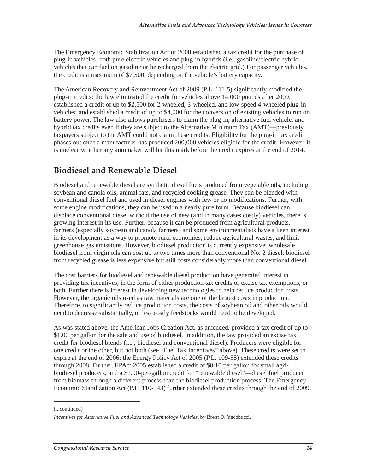The Emergency Economic Stabilization Act of 2008 established a tax credit for the purchase of plug-in vehicles, both pure electric vehicles and plug-in hybrids (i.e., gasoline/electric hybrid vehicles that can fuel on gasoline or be recharged from the electric grid.) For passenger vehicles, the credit is a maximum of \$7,500, depending on the vehicle's battery capacity.

The American Recovery and Reinvestment Act of 2009 (P.L. 111-5) significantly modified the plug-in credits: the law eliminated the credit for vehicles above 14,000 pounds after 2009; established a credit of up to \$2,500 for 2-wheeled, 3-wheeled, and low-speed 4-wheeled plug-in vehicles; and established a credit of up to \$4,000 for the conversion of existing vehicles to run on battery power. The law also allows purchasers to claim the plug-in, alternative fuel vehicle, and hybrid tax credits even if they are subject to the Alternative Minimum Tax (AMT)—previously, taxpayers subject to the AMT could not claim these credits. Eligibility for the plug-in tax credit phases out once a manufacturer has produced 200,000 vehicles eligible for the credit. However, it is unclear whether any automaker will hit this mark before the credit expires at the end of 2014.

## **Biodiesel and Renewable Diesel**

Biodiesel and renewable diesel are synthetic diesel fuels produced from vegetable oils, including soybean and canola oils, animal fats, and recycled cooking grease. They can be blended with conventional diesel fuel and used in diesel engines with few or no modifications. Further, with some engine modifications, they can be used in a nearly pure form. Because biodiesel can displace conventional diesel without the use of new (and in many cases costly) vehicles, there is growing interest in its use. Further, because it can be produced from agricultural products, farmers (especially soybean and canola farmers) and some environmentalists have a keen interest in its development as a way to promote rural economies, reduce agricultural wastes, and limit greenhouse gas emissions. However, biodiesel production is currently expensive: wholesale biodiesel from virgin oils can cost up to two times more than conventional No. 2 diesel; biodiesel from recycled grease is less expensive but still costs considerably more than conventional diesel.

The cost barriers for biodiesel and renewable diesel production have generated interest in providing tax incentives, in the form of either production tax credits or excise tax exemptions, or both. Further there is interest in developing new technologies to help reduce production costs. However, the organic oils used as raw materials are one of the largest costs in production. Therefore, to significantly reduce production costs, the costs of soybean oil and other oils would need to decrease substantially, or less costly feedstocks would need to be developed.

As was stated above, the American Jobs Creation Act, as amended, provided a tax credit of up to \$1.00 per gallon for the sale and use of biodiesel. In addition, the law provided an excise tax credit for biodiesel blends (i.e., biodiesel and conventional diesel). Producers were eligible for one credit or the other, but not both (see "Fuel Tax Incentives" above). These credits were set to expire at the end of 2006; the Energy Policy Act of 2005 (P.L. 109-58) extended these credits through 2008. Further, EPAct 2005 established a credit of \$0.10 per gallon for small agribiodiesel producers, and a \$1.00-per-gallon credit for "renewable diesel"—diesel fuel produced from biomass through a different process than the biodiesel production process. The Emergency Economic Stabilization Act (P.L. 110-343) further extended these credits through the end of 2009.

-

<sup>(...</sup>continued)

*Incentives for Alternative Fuel and Advanced Technology Vehicles*, by Brent D. Yacobucci.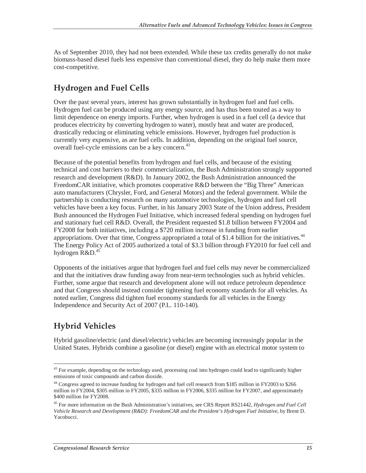As of September 2010, they had not been extended. While these tax credits generally do not make biomass-based diesel fuels less expensive than conventional diesel, they do help make them more cost-competitive.

## **Hydrogen and Fuel Cells**

Over the past several years, interest has grown substantially in hydrogen fuel and fuel cells. Hydrogen fuel can be produced using any energy source, and has thus been touted as a way to limit dependence on energy imports. Further, when hydrogen is used in a fuel cell (a device that produces electricity by converting hydrogen to water), mostly heat and water are produced, drastically reducing or eliminating vehicle emissions. However, hydrogen fuel production is currently very expensive, as are fuel cells. In addition, depending on the original fuel source, overall fuel-cycle emissions can be a key concern.<sup>43</sup>

Because of the potential benefits from hydrogen and fuel cells, and because of the existing technical and cost barriers to their commercialization, the Bush Administration strongly supported research and development (R&D). In January 2002, the Bush Administration announced the FreedomCAR initiative, which promotes cooperative R&D between the "Big Three" American auto manufacturers (Chrysler, Ford, and General Motors) and the federal government. While the partnership is conducting research on many automotive technologies, hydrogen and fuel cell vehicles have been a key focus. Further, in his January 2003 State of the Union address, President Bush announced the Hydrogen Fuel Initiative, which increased federal spending on hydrogen fuel and stationary fuel cell R&D. Overall, the President requested \$1.8 billion between FY2004 and FY2008 for both initiatives, including a \$720 million increase in funding from earlier appropriations. Over that time, Congress appropriated a total of \$1.4 billion for the initiatives.<sup>44</sup> The Energy Policy Act of 2005 authorized a total of \$3.3 billion through FY2010 for fuel cell and hydrogen  $R&D.<sup>45</sup>$ 

Opponents of the initiatives argue that hydrogen fuel and fuel cells may never be commercialized and that the initiatives draw funding away from near-term technologies such as hybrid vehicles. Further, some argue that research and development alone will not reduce petroleum dependence and that Congress should instead consider tightening fuel economy standards for all vehicles. As noted earlier, Congress did tighten fuel economy standards for all vehicles in the Energy Independence and Security Act of 2007 (P.L. 110-140).

## **Hybrid Vehicles**

Hybrid gasoline/electric (and diesel/electric) vehicles are becoming increasingly popular in the United States. Hybrids combine a gasoline (or diesel) engine with an electrical motor system to

 $\overline{a}$ <sup>43</sup> For example, depending on the technology used, processing coal into hydrogen could lead to significantly higher emissions of toxic compounds and carbon dioxide.

<sup>&</sup>lt;sup>44</sup> Congress agreed to increase funding for hydrogen and fuel cell research from \$185 million in FY2003 to \$266 million in FY2004, \$305 million in FY2005, \$335 million in FY2006, \$335 million for FY2007, and approximately \$400 million for FY2008.

<sup>45</sup> For more information on the Bush Administration's initiatives, see CRS Report RS21442, *Hydrogen and Fuel Cell Vehicle Research and Development (R&D): FreedomCAR and the President's Hydrogen Fuel Initiative*, by Brent D. Yacobucci.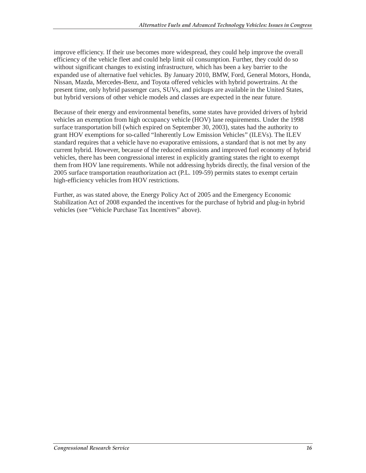improve efficiency. If their use becomes more widespread, they could help improve the overall efficiency of the vehicle fleet and could help limit oil consumption. Further, they could do so without significant changes to existing infrastructure, which has been a key barrier to the expanded use of alternative fuel vehicles. By January 2010, BMW, Ford, General Motors, Honda, Nissan, Mazda, Mercedes-Benz, and Toyota offered vehicles with hybrid powertrains. At the present time, only hybrid passenger cars, SUVs, and pickups are available in the United States, but hybrid versions of other vehicle models and classes are expected in the near future.

Because of their energy and environmental benefits, some states have provided drivers of hybrid vehicles an exemption from high occupancy vehicle (HOV) lane requirements. Under the 1998 surface transportation bill (which expired on September 30, 2003), states had the authority to grant HOV exemptions for so-called "Inherently Low Emission Vehicles" (ILEVs). The ILEV standard requires that a vehicle have no evaporative emissions, a standard that is not met by any current hybrid. However, because of the reduced emissions and improved fuel economy of hybrid vehicles, there has been congressional interest in explicitly granting states the right to exempt them from HOV lane requirements. While not addressing hybrids directly, the final version of the 2005 surface transportation reauthorization act (P.L. 109-59) permits states to exempt certain high-efficiency vehicles from HOV restrictions.

Further, as was stated above, the Energy Policy Act of 2005 and the Emergency Economic Stabilization Act of 2008 expanded the incentives for the purchase of hybrid and plug-in hybrid vehicles (see "Vehicle Purchase Tax Incentives" above).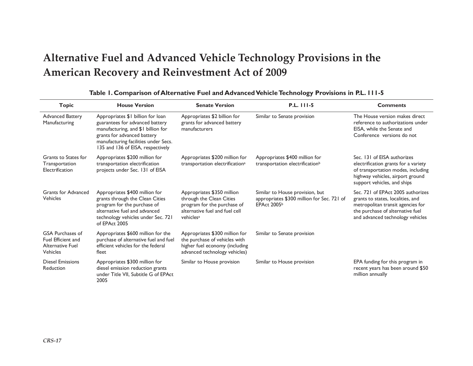# **Alternative Fuel and Advanced Vehicle Technology Provisions in the American Recovery and Reinvestment Act of 2009**

| <b>Topic</b>                                                                         | <b>House Version</b>                                                                                                                                                                                                   | <b>Senate Version</b>                                                                                                                            | P.L. 111-5                                                                                          | <b>Comments</b>                                                                                                                                                                     |
|--------------------------------------------------------------------------------------|------------------------------------------------------------------------------------------------------------------------------------------------------------------------------------------------------------------------|--------------------------------------------------------------------------------------------------------------------------------------------------|-----------------------------------------------------------------------------------------------------|-------------------------------------------------------------------------------------------------------------------------------------------------------------------------------------|
| <b>Advanced Battery</b><br>Manufacturing                                             | Appropriates \$1 billion for loan<br>guarantees for advanced battery<br>manufacturing, and \$1 billion for<br>grants for advanced battery<br>manufacturing facilities under Secs.<br>135 and 136 of EISA, respectively | Appropriates \$2 billion for<br>grants for advanced battery<br>manufacturers                                                                     | Similar to Senate provision                                                                         | The House version makes direct<br>reference to authorizations under<br>EISA, while the Senate and<br>Conference versions do not                                                     |
| Grants to States for<br>Transportation<br>Electrification                            | Appropriates \$200 million for<br>transportation electrification<br>projects under Sec. 131 of EISA                                                                                                                    | Appropriates \$200 million for<br>transportation electrification <sup>a</sup>                                                                    | Appropriates \$400 million for<br>transportation electrification <sup>b</sup>                       | Sec. 131 of EISA authorizes<br>electrification grants for a variety<br>of transportation modes, including<br>highway vehicles, airport ground<br>support vehicles, and ships        |
| <b>Grants for Advanced</b><br>Vehicles                                               | Appropriates \$400 million for<br>grants through the Clean Cities<br>program for the purchase of<br>alternative fuel and advanced<br>technology vehicles under Sec. 721<br>of EPAct 2005                               | Appropriates \$350 million<br>through the Clean Cities<br>program for the purchase of<br>alternative fuel and fuel cell<br>vehicles <sup>a</sup> | Similar to House provision, but<br>appropriates \$300 million for Sec. 721 of<br><b>EPAct 2005b</b> | Sec. 721 of EPAct 2005 authorizes<br>grants to states, localities, and<br>metropolitan transit agencies for<br>the purchase of alternative fuel<br>and advanced technology vehicles |
| <b>GSA Purchases of</b><br>Fuel Efficient and<br>Alternative Fuel<br><b>Vehicles</b> | Appropriates \$600 million for the<br>purchase of alternative fuel and fuel<br>efficient vehicles for the federal<br>fleet                                                                                             | Appropriates \$300 million for<br>the purchase of vehicles with<br>higher fuel economy (including<br>advanced technology vehicles)               | Similar to Senate provision                                                                         |                                                                                                                                                                                     |
| <b>Diesel Emissions</b><br>Reduction                                                 | Appropriates \$300 million for<br>diesel emission reduction grants<br>under Title VII, Subtitle G of EPAct<br>2005                                                                                                     | Similar to House provision                                                                                                                       | Similar to House provision                                                                          | EPA funding for this program in<br>recent years has been around \$50<br>million annually                                                                                            |

#### **Table 1. Comparison of Alternative Fuel and Advanced Vehicle Technology Provisions in P.L. 111-5**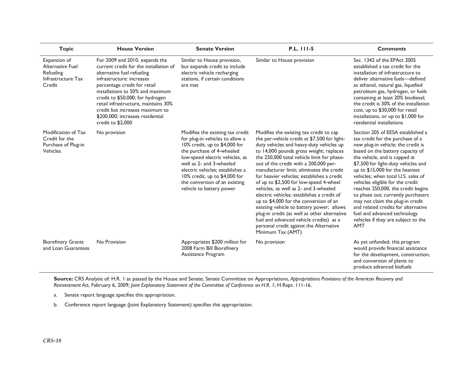| <b>Topic</b>                                                                         | <b>House Version</b>                                                                                                                                                                                                                                                                                                                                                            | <b>Senate Version</b>                                                                                                                                                                                                                                                                                                              | P.L. 111-5                                                                                                                                                                                                                                                                                                                                                                                                                                                                                                                                                                                                                                                                                                                                          | <b>Comments</b>                                                                                                                                                                                                                                                                                                                                                                                                                                                                                                                                                                  |
|--------------------------------------------------------------------------------------|---------------------------------------------------------------------------------------------------------------------------------------------------------------------------------------------------------------------------------------------------------------------------------------------------------------------------------------------------------------------------------|------------------------------------------------------------------------------------------------------------------------------------------------------------------------------------------------------------------------------------------------------------------------------------------------------------------------------------|-----------------------------------------------------------------------------------------------------------------------------------------------------------------------------------------------------------------------------------------------------------------------------------------------------------------------------------------------------------------------------------------------------------------------------------------------------------------------------------------------------------------------------------------------------------------------------------------------------------------------------------------------------------------------------------------------------------------------------------------------------|----------------------------------------------------------------------------------------------------------------------------------------------------------------------------------------------------------------------------------------------------------------------------------------------------------------------------------------------------------------------------------------------------------------------------------------------------------------------------------------------------------------------------------------------------------------------------------|
| Expansion of<br><b>Alternative Fuel</b><br>Refueling<br>Infrastructure Tax<br>Credit | For 2009 and 2010, expands the<br>current credit for the installation of<br>alternative fuel refueling<br>infrastructure: increases<br>percentage credit for retail<br>installations to 50% and maximum<br>credit to \$50,000; for hydrogen<br>retail infrastructure, maintains 30%<br>credit but increases maximum to<br>\$200,000; increases residential<br>credit to \$2,000 | Similar to House provision,<br>but expands credit to include<br>electric vehicle recharging<br>stations, if certain conditions<br>are met                                                                                                                                                                                          | Similar to House provision                                                                                                                                                                                                                                                                                                                                                                                                                                                                                                                                                                                                                                                                                                                          | Sec. 1342 of the EPAct 2005<br>established a tax credit for the<br>installation of infrastructure to<br>deliver alternative fuels-defined<br>as ethanol, natural gas, liquefied<br>petroleum gas, hydrogen, or fuels<br>containing at least 20% biodiesel;<br>the credit is 30% of the installation<br>cost, up to \$30,000 for retail<br>installations, or up to \$1,000 for<br>residential installations                                                                                                                                                                       |
| Modification of Tax<br>Credit for the<br>Purchase of Plug-in<br>Vehicles             | No provision                                                                                                                                                                                                                                                                                                                                                                    | Modifies the existing tax credit<br>for plug-in vehicles to allow a<br>10% credit, up to \$4,000 for<br>the purchase of 4-wheeled<br>low-speed electric vehicles, as<br>well as 2- and 3-wheeled<br>electric vehicles; establishes a<br>10% credit, up to \$4,000 for<br>the conversion of an existing<br>vehicle to battery power | Modifies the existing tax credit to cap<br>the per-vehicle credit at \$7,500 for light-<br>duty vehicles and heavy-duty vehicles up<br>to 14,000 pounds gross weight; replaces<br>the 250,000 total vehicle limit for phase-<br>out of the credit with a 200,000 per-<br>manufacturer limit: eliminates the credit<br>for heavier vehicles; establishes a credit<br>of up to \$2,500 for low-speed 4-wheel<br>vehicles, as well as 2- and 3-wheeled<br>electric vehicles; establishes a credit of<br>up to \$4,000 for the conversion of an<br>existing vehicle to battery power; allows<br>plug-in credit (as well as other alternative<br>fuel and advanced vehicle credits) as a<br>personal credit against the Alternative<br>Minimum Tax (AMT) | Section 205 of EESA established a<br>tax credit for the purchase of a<br>new plug-in vehicle; the credit is<br>based on the battery capacity of<br>the vehicle, and is capped at<br>\$7,500 for light-duty vehicles and<br>up to \$15,000 for the heaviest<br>vehicles; when total U.S. sales of<br>vehicles eligible for the credit<br>reaches 250,000, the credit begins<br>to phase out; currently purchasers<br>may not claim the plug-in credit<br>and related credits for alternative<br>fuel and advanced technology<br>vehicles if they are subject to the<br><b>AMT</b> |
| <b>Biorefinery Grants</b><br>and Loan Guarantees                                     | No Provision                                                                                                                                                                                                                                                                                                                                                                    | Appropriates \$200 million for<br>2008 Farm Bill Biorefinery<br>Assistance Program                                                                                                                                                                                                                                                 | No provision                                                                                                                                                                                                                                                                                                                                                                                                                                                                                                                                                                                                                                                                                                                                        | As yet unfunded, this program<br>would provide financial assistance<br>for the development, construction,<br>and conversion of plants to<br>produce advanced biofuels                                                                                                                                                                                                                                                                                                                                                                                                            |

**Source:** CRS Analysis of: H.R. 1 as passed by the House and Senate; Senate Committee on Appropriations, *Appropriations Provisions of the American Recovery and Reinvestment Act*, February 6, 2009; *Joint Explanatory Statement of the Committee of Conference on H.R. 1*; H.Rept. 111-16.

a. Senate report language specifies this appropriation.

b. Conference report language (Joint Explanatory Statement) specifies this appropriation.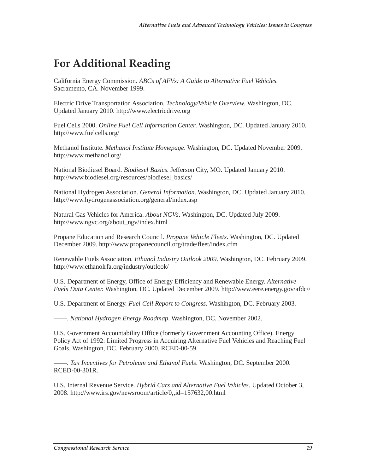# **For Additional Reading**

California Energy Commission. *ABCs of AFVs: A Guide to Alternative Fuel Vehicles.* Sacramento, CA. November 1999.

Electric Drive Transportation Association. *Technology/Vehicle Overview*. Washington, DC. Updated January 2010. http://www.electricdrive.org

Fuel Cells 2000. *Online Fuel Cell Information Center*. Washington, DC. Updated January 2010. http://www.fuelcells.org/

Methanol Institute. *Methanol Institute Homepage*. Washington, DC. Updated November 2009. http://www.methanol.org/

National Biodiesel Board. *Biodiesel Basics.* Jefferson City, MO. Updated January 2010. http://www.biodiesel.org/resources/biodiesel\_basics/

National Hydrogen Association. *General Information*. Washington, DC. Updated January 2010. http://www.hydrogenassociation.org/general/index.asp

Natural Gas Vehicles for America. *About NGVs*. Washington, DC. Updated July 2009. http://www.ngvc.org/about\_ngv/index.html

Propane Education and Research Council. *Propane Vehicle Fleets*. Washington, DC. Updated December 2009. http://www.propanecouncil.org/trade/fleet/index.cfm

Renewable Fuels Association. *Ethanol Industry Outlook 2009*. Washington, DC. February 2009. http://www.ethanolrfa.org/industry/outlook/

U.S. Department of Energy, Office of Energy Efficiency and Renewable Energy. *Alternative Fuels Data Center.* Washington, DC. Updated December 2009. http://www.eere.energy.gov/afdc//

U.S. Department of Energy. *Fuel Cell Report to Congress*. Washington, DC. February 2003.

——. *National Hydrogen Energy Roadmap*. Washington, DC. November 2002.

U.S. Government Accountability Office (formerly Government Accounting Office). Energy Policy Act of 1992: Limited Progress in Acquiring Alternative Fuel Vehicles and Reaching Fuel Goals. Washington, DC. February 2000. RCED-00-59.

——. *Tax Incentives for Petroleum and Ethanol Fuels*. Washington, DC. September 2000. RCED-00-301R.

U.S. Internal Revenue Service. *Hybrid Cars and Alternative Fuel Vehicles*. Updated October 3, 2008. http://www.irs.gov/newsroom/article/0,,id=157632,00.html